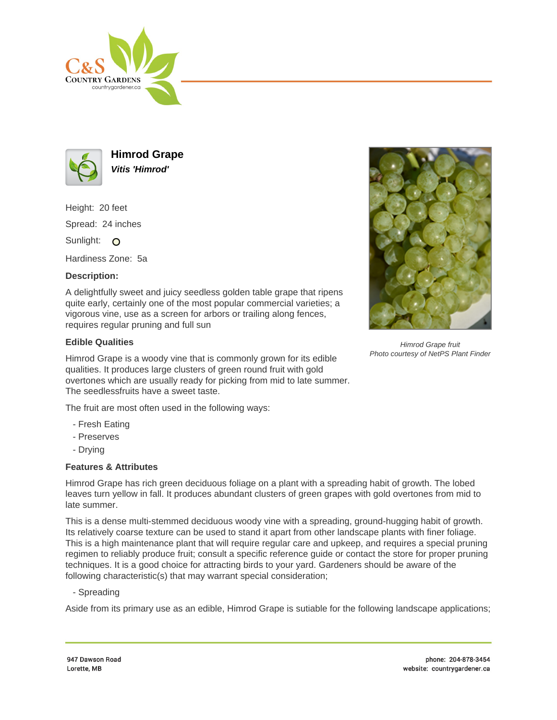



**Himrod Grape Vitis 'Himrod'**

Height: 20 feet Spread: 24 inches Sunlight: O

Hardiness Zone: 5a

## **Description:**

A delightfully sweet and juicy seedless golden table grape that ripens quite early, certainly one of the most popular commercial varieties; a vigorous vine, use as a screen for arbors or trailing along fences, requires regular pruning and full sun

## **Edible Qualities**

Himrod Grape is a woody vine that is commonly grown for its edible qualities. It produces large clusters of green round fruit with gold overtones which are usually ready for picking from mid to late summer. The seedlessfruits have a sweet taste.

The fruit are most often used in the following ways:

- Fresh Eating
- Preserves
- Drying

## **Features & Attributes**

Himrod Grape has rich green deciduous foliage on a plant with a spreading habit of growth. The lobed leaves turn yellow in fall. It produces abundant clusters of green grapes with gold overtones from mid to late summer.

This is a dense multi-stemmed deciduous woody vine with a spreading, ground-hugging habit of growth. Its relatively coarse texture can be used to stand it apart from other landscape plants with finer foliage. This is a high maintenance plant that will require regular care and upkeep, and requires a special pruning regimen to reliably produce fruit; consult a specific reference guide or contact the store for proper pruning techniques. It is a good choice for attracting birds to your yard. Gardeners should be aware of the following characteristic(s) that may warrant special consideration;

- Spreading

Aside from its primary use as an edible, Himrod Grape is sutiable for the following landscape applications;



Himrod Grape fruit Photo courtesy of NetPS Plant Finder